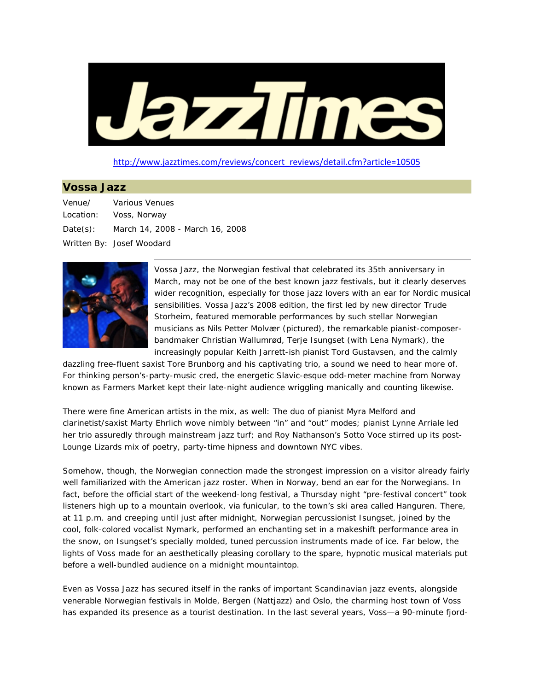

http://www.jazztimes.com/reviews/concert\_reviews/detail.cfm?article=10505

## **Vossa Jazz**

| Venue/ | Various Venues                           |
|--------|------------------------------------------|
|        | Location: Voss, Norway                   |
|        | Date(s): March 14, 2008 - March 16, 2008 |
|        | Written By: Josef Woodard                |



Vossa Jazz, the Norwegian festival that celebrated its 35th anniversary in March, may not be one of the best known jazz festivals, but it clearly deserves wider recognition, especially for those jazz lovers with an ear for Nordic musical sensibilities. Vossa Jazz's 2008 edition, the first led by new director Trude Storheim, featured memorable performances by such stellar Norwegian musicians as Nils Petter Molvær (pictured), the remarkable pianist-composerbandmaker Christian Wallumrød, Terje Isungset (with Lena Nymark), the increasingly popular Keith Jarrett-ish pianist Tord Gustavsen, and the calmly

dazzling free-fluent saxist Tore Brunborg and his captivating trio, a sound we need to hear more of. For thinking person's-party-music cred, the energetic Slavic-esque odd-meter machine from Norway known as Farmers Market kept their late-night audience wriggling manically and counting likewise.

There were fine American artists in the mix, as well: The duo of pianist Myra Melford and clarinetist/saxist Marty Ehrlich wove nimbly between "in" and "out" modes; pianist Lynne Arriale led her trio assuredly through mainstream jazz turf; and Roy Nathanson's Sotto Voce stirred up its post-Lounge Lizards mix of poetry, party-time hipness and downtown NYC vibes.

Somehow, though, the Norwegian connection made the strongest impression on a visitor already fairly well familiarized with the American jazz roster. When in Norway, bend an ear for the Norwegians. In fact, before the official start of the weekend-long festival, a Thursday night "pre-festival concert" took listeners high up to a mountain overlook, via funicular, to the town's ski area called Hanguren. There, at 11 p.m. and creeping until just after midnight, Norwegian percussionist Isungset, joined by the cool, folk-colored vocalist Nymark, performed an enchanting set in a makeshift performance area in the snow, on Isungset's specially molded, tuned percussion instruments made of ice. Far below, the lights of Voss made for an aesthetically pleasing corollary to the spare, hypnotic musical materials put before a well-bundled audience on a midnight mountaintop.

Even as Vossa Jazz has secured itself in the ranks of important Scandinavian jazz events, alongside venerable Norwegian festivals in Molde, Bergen (Nattjazz) and Oslo, the charming host town of Voss has expanded its presence as a tourist destination. In the last several years, Voss—a 90-minute fjord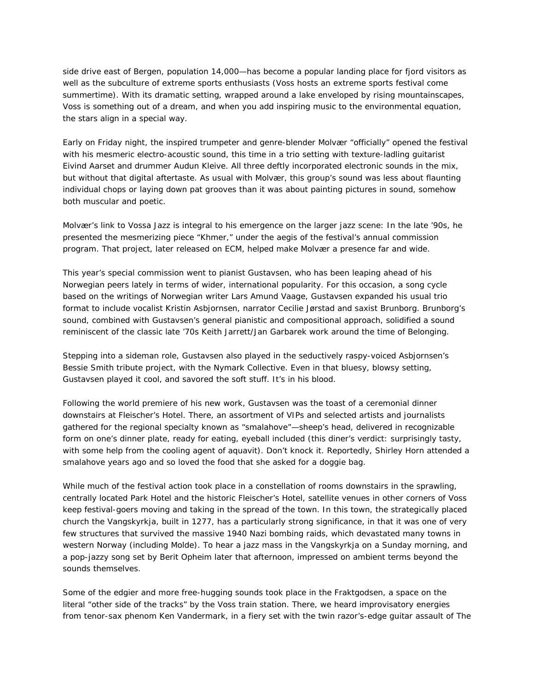side drive east of Bergen, population 14,000—has become a popular landing place for fjord visitors as well as the subculture of extreme sports enthusiasts (Voss hosts an extreme sports festival come summertime). With its dramatic setting, wrapped around a lake enveloped by rising mountainscapes, Voss is something out of a dream, and when you add inspiring music to the environmental equation, the stars align in a special way.

Early on Friday night, the inspired trumpeter and genre-blender Molvær "officially" opened the festival with his mesmeric electro-acoustic sound, this time in a trio setting with texture-ladling guitarist Eivind Aarset and drummer Audun Kleive. All three deftly incorporated electronic sounds in the mix, but without that digital aftertaste. As usual with Molvær, this group's sound was less about flaunting individual chops or laying down pat grooves than it was about painting pictures in sound, somehow both muscular and poetic.

Molvær's link to Vossa Jazz is integral to his emergence on the larger jazz scene: In the late '90s, he presented the mesmerizing piece "Khmer," under the aegis of the festival's annual commission program. That project, later released on ECM, helped make Molvær a presence far and wide.

This year's special commission went to pianist Gustavsen, who has been leaping ahead of his Norwegian peers lately in terms of wider, international popularity. For this occasion, a song cycle based on the writings of Norwegian writer Lars Amund Vaage, Gustavsen expanded his usual trio format to include vocalist Kristin Asbjornsen, narrator Cecilie Jørstad and saxist Brunborg. Brunborg's sound, combined with Gustavsen's general pianistic and compositional approach, solidified a sound reminiscent of the classic late '70s Keith Jarrett/Jan Garbarek work around the time of *Belonging*.

Stepping into a sideman role, Gustavsen also played in the seductively raspy-voiced Asbjornsen's Bessie Smith tribute project, with the Nymark Collective. Even in that bluesy, blowsy setting, Gustavsen played it cool, and savored the soft stuff. It's in his blood.

Following the world premiere of his new work, Gustavsen was the toast of a ceremonial dinner downstairs at Fleischer's Hotel. There, an assortment of VIPs and selected artists and journalists gathered for the regional specialty known as "smalahove"—sheep's head, delivered in recognizable form on one's dinner plate, ready for eating, eyeball included (this diner's verdict: surprisingly tasty, with some help from the cooling agent of *aquavit*). Don't knock it. Reportedly, Shirley Horn attended a smalahove years ago and so loved the food that she asked for a doggie bag.

While much of the festival action took place in a constellation of rooms downstairs in the sprawling, centrally located Park Hotel and the historic Fleischer's Hotel, satellite venues in other corners of Voss keep festival-goers moving and taking in the spread of the town. In this town, the strategically placed church the Vangskyrkja, built in 1277, has a particularly strong significance, in that it was one of very few structures that survived the massive 1940 Nazi bombing raids, which devastated many towns in western Norway (including Molde). To hear a jazz mass in the Vangskyrkja on a Sunday morning, and a pop-jazzy song set by Berit Opheim later that afternoon, impressed on ambient terms beyond the sounds themselves.

Some of the edgier and more free-hugging sounds took place in the Fraktgodsen, a space on the literal "other side of the tracks" by the Voss train station. There, we heard improvisatory energies from tenor-sax phenom Ken Vandermark, in a fiery set with the twin razor's-edge guitar assault of The